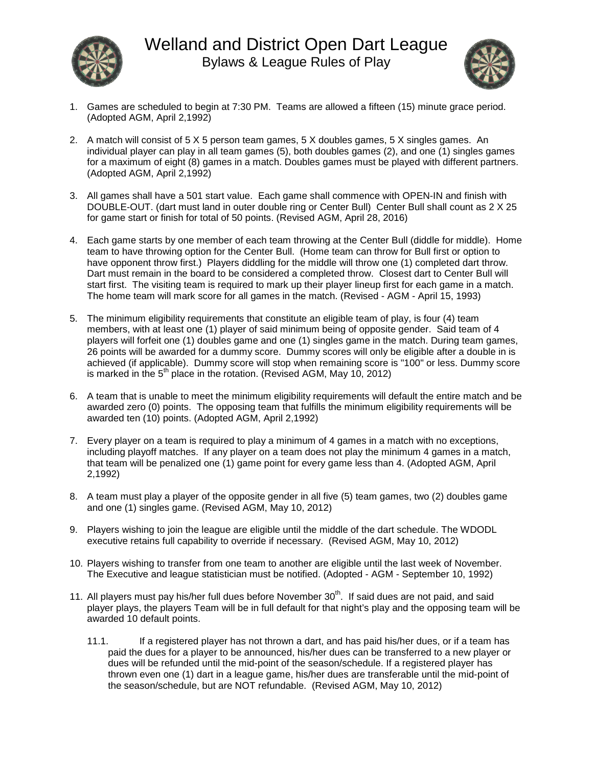



- 1. Games are scheduled to begin at 7:30 PM. Teams are allowed a fifteen (15) minute grace period. (Adopted AGM, April 2,1992)
- 2. A match will consist of 5 X 5 person team games, 5 X doubles games, 5 X singles games. An individual player can play in all team games (5), both doubles games (2), and one (1) singles games for a maximum of eight (8) games in a match. Doubles games must be played with different partners. (Adopted AGM, April 2,1992)
- 3. All games shall have a 501 start value. Each game shall commence with OPEN-IN and finish with DOUBLE-OUT. (dart must land in outer double ring or Center Bull) Center Bull shall count as 2 X 25 for game start or finish for total of 50 points. (Revised AGM, April 28, 2016)
- 4. Each game starts by one member of each team throwing at the Center Bull (diddle for middle). Home team to have throwing option for the Center Bull. (Home team can throw for Bull first or option to have opponent throw first.) Players diddling for the middle will throw one (1) completed dart throw. Dart must remain in the board to be considered a completed throw. Closest dart to Center Bull will start first. The visiting team is required to mark up their player lineup first for each game in a match. The home team will mark score for all games in the match. (Revised - AGM - April 15, 1993)
- 5. The minimum eligibility requirements that constitute an eligible team of play, is four (4) team members, with at least one (1) player of said minimum being of opposite gender. Said team of 4 players will forfeit one (1) doubles game and one (1) singles game in the match. During team games, 26 points will be awarded for a dummy score. Dummy scores will only be eligible after a double in is achieved (if applicable). Dummy score will stop when remaining score is "100" or less. Dummy score is marked in the  $5<sup>th</sup>$  place in the rotation. (Revised AGM, May 10, 2012)
- 6. A team that is unable to meet the minimum eligibility requirements will default the entire match and be awarded zero (0) points. The opposing team that fulfills the minimum eligibility requirements will be awarded ten (10) points. (Adopted AGM, April 2,1992)
- 7. Every player on a team is required to play a minimum of 4 games in a match with no exceptions, including playoff matches. If any player on a team does not play the minimum 4 games in a match, that team will be penalized one (1) game point for every game less than 4. (Adopted AGM, April 2,1992)
- 8. A team must play a player of the opposite gender in all five (5) team games, two (2) doubles game and one (1) singles game. (Revised AGM, May 10, 2012)
- 9. Players wishing to join the league are eligible until the middle of the dart schedule. The WDODL executive retains full capability to override if necessary. (Revised AGM, May 10, 2012)
- 10. Players wishing to transfer from one team to another are eligible until the last week of November. The Executive and league statistician must be notified. (Adopted - AGM - September 10, 1992)
- 11. All players must pay his/her full dues before November  $30<sup>th</sup>$ . If said dues are not paid, and said player plays, the players Team will be in full default for that night's play and the opposing team will be awarded 10 default points.
	- 11.1. If a registered player has not thrown a dart, and has paid his/her dues, or if a team has paid the dues for a player to be announced, his/her dues can be transferred to a new player or dues will be refunded until the mid-point of the season/schedule. If a registered player has thrown even one (1) dart in a league game, his/her dues are transferable until the mid-point of the season/schedule, but are NOT refundable. (Revised AGM, May 10, 2012)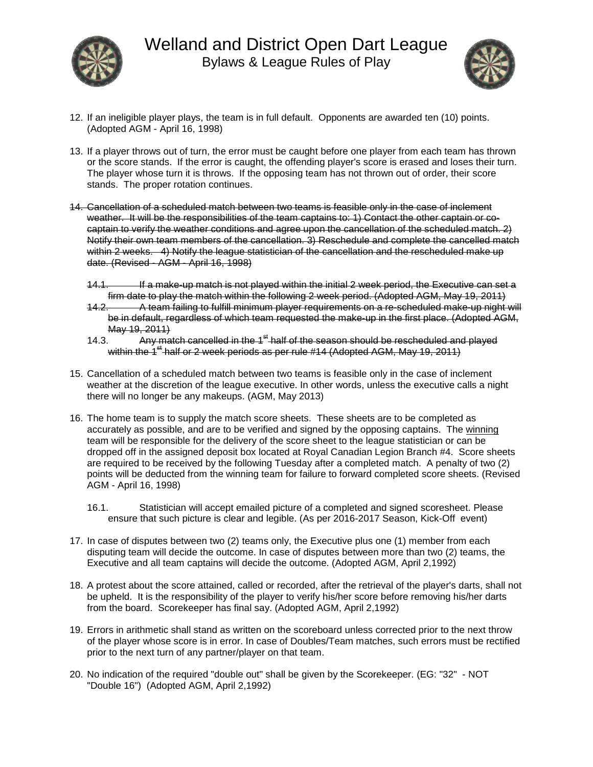



- 12. If an ineligible player plays, the team is in full default. Opponents are awarded ten (10) points. (Adopted AGM - April 16, 1998)
- 13. If a player throws out of turn, the error must be caught before one player from each team has thrown or the score stands. If the error is caught, the offending player's score is erased and loses their turn. The player whose turn it is throws. If the opposing team has not thrown out of order, their score stands. The proper rotation continues.
- 14. Cancellation of a scheduled match between two teams is feasible only in the case of inclement weather. It will be the responsibilities of the team captains to: 1) Contact the other captain or cocaptain to verify the weather conditions and agree upon the cancellation of the scheduled match. 2) Notify their own team members of the cancellation. 3) Reschedule and complete the cancelled match within 2 weeks. 4) Notify the league statistician of the cancellation and the rescheduled make up date. (Revised - AGM - April 16, 1998)
	- 14.1. If a make-up match is not played within the initial 2 week period, the Executive can set a firm date to play the match within the following 2 week period. (Adopted AGM, May 19, 2011)
	- 14.2. A team failing to fulfill minimum player requirements on a re-scheduled make-up night will be in default, regardless of which team requested the make-up in the first place. (Adopted AGM, May 19, 2011)<br>14.3. Any may
	- Any match cancelled in the 1<sup>st</sup> half of the season should be rescheduled and played within the  $1<sup>st</sup>$  half or 2 week periods as per rule #14 (Adopted AGM, May 19, 2011)
- 15. Cancellation of a scheduled match between two teams is feasible only in the case of inclement weather at the discretion of the league executive. In other words, unless the executive calls a night there will no longer be any makeups. (AGM, May 2013)
- 16. The home team is to supply the match score sheets. These sheets are to be completed as accurately as possible, and are to be verified and signed by the opposing captains. The winning team will be responsible for the delivery of the score sheet to the league statistician or can be dropped off in the assigned deposit box located at Royal Canadian Legion Branch #4. Score sheets are required to be received by the following Tuesday after a completed match. A penalty of two (2) points will be deducted from the winning team for failure to forward completed score sheets. (Revised AGM - April 16, 1998)
	- 16.1. Statistician will accept emailed picture of a completed and signed scoresheet. Please ensure that such picture is clear and legible. (As per 2016-2017 Season, Kick-Off event)
- 17. In case of disputes between two (2) teams only, the Executive plus one (1) member from each disputing team will decide the outcome. In case of disputes between more than two (2) teams, the Executive and all team captains will decide the outcome. (Adopted AGM, April 2,1992)
- 18. A protest about the score attained, called or recorded, after the retrieval of the player's darts, shall not be upheld. It is the responsibility of the player to verify his/her score before removing his/her darts from the board. Scorekeeper has final say. (Adopted AGM, April 2,1992)
- 19. Errors in arithmetic shall stand as written on the scoreboard unless corrected prior to the next throw of the player whose score is in error. In case of Doubles/Team matches, such errors must be rectified prior to the next turn of any partner/player on that team.
- 20. No indication of the required "double out" shall be given by the Scorekeeper. (EG: "32" NOT "Double 16") (Adopted AGM, April 2,1992)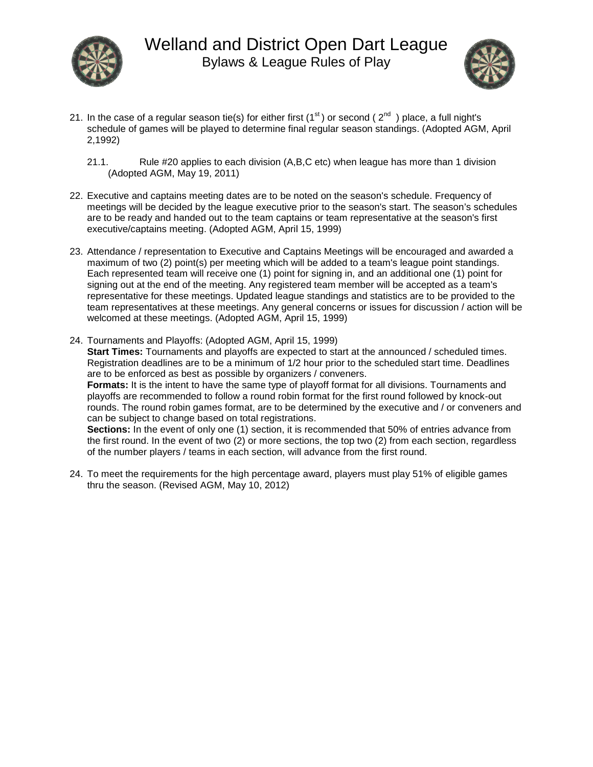



- 21. In the case of a regular season tie(s) for either first ( $1<sup>st</sup>$ ) or second ( $2<sup>nd</sup>$ ) place, a full night's schedule of games will be played to determine final regular season standings. (Adopted AGM, April 2,1992)
	- 21.1. Rule #20 applies to each division (A,B,C etc) when league has more than 1 division (Adopted AGM, May 19, 2011)
- 22. Executive and captains meeting dates are to be noted on the season's schedule. Frequency of meetings will be decided by the league executive prior to the season's start. The season's schedules are to be ready and handed out to the team captains or team representative at the season's first executive/captains meeting. (Adopted AGM, April 15, 1999)
- 23. Attendance / representation to Executive and Captains Meetings will be encouraged and awarded a maximum of two (2) point(s) per meeting which will be added to a team's league point standings. Each represented team will receive one (1) point for signing in, and an additional one (1) point for signing out at the end of the meeting. Any registered team member will be accepted as a team's representative for these meetings. Updated league standings and statistics are to be provided to the team representatives at these meetings. Any general concerns or issues for discussion / action will be welcomed at these meetings. (Adopted AGM, April 15, 1999)
- 24. Tournaments and Playoffs: (Adopted AGM, April 15, 1999) **Start Times:** Tournaments and playoffs are expected to start at the announced / scheduled times. Registration deadlines are to be a minimum of 1/2 hour prior to the scheduled start time. Deadlines are to be enforced as best as possible by organizers / conveners. **Formats:** It is the intent to have the same type of playoff format for all divisions. Tournaments and playoffs are recommended to follow a round robin format for the first round followed by knock-out rounds. The round robin games format, are to be determined by the executive and / or conveners and can be subject to change based on total registrations. **Sections:** In the event of only one (1) section, it is recommended that 50% of entries advance from the first round. In the event of two (2) or more sections, the top two (2) from each section, regardless of the number players / teams in each section, will advance from the first round.
- 24. To meet the requirements for the high percentage award, players must play 51% of eligible games thru the season. (Revised AGM, May 10, 2012)